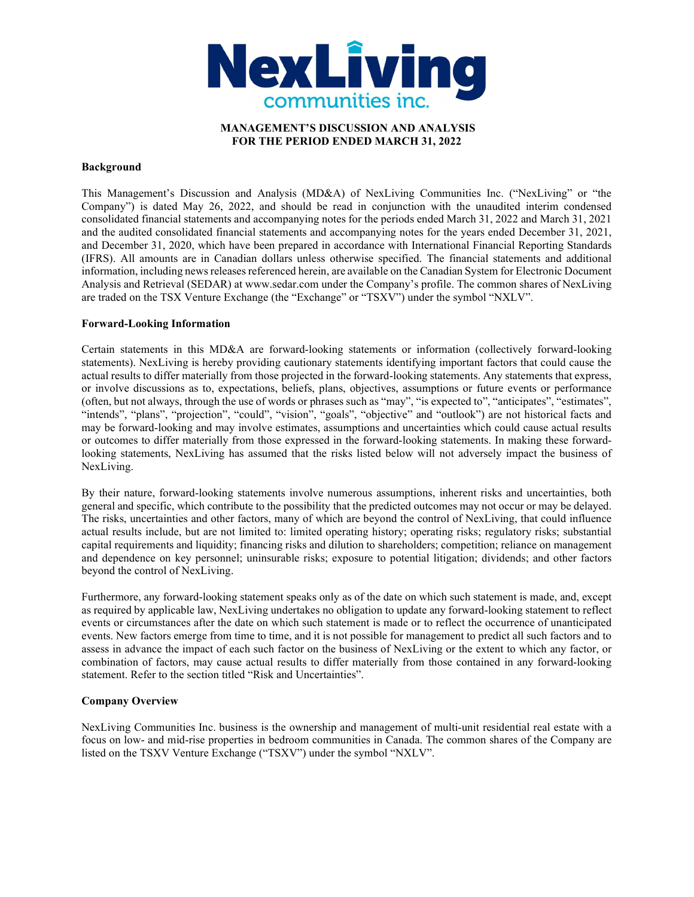

# MANAGEMENT'S DISCUSSION AND ANALYSIS FOR THE PERIOD ENDED MARCH 31, 2022

### Background

This Management's Discussion and Analysis (MD&A) of NexLiving Communities Inc. ("NexLiving" or "the Company") is dated May 26, 2022, and should be read in conjunction with the unaudited interim condensed consolidated financial statements and accompanying notes for the periods ended March 31, 2022 and March 31, 2021 and the audited consolidated financial statements and accompanying notes for the years ended December 31, 2021, and December 31, 2020, which have been prepared in accordance with International Financial Reporting Standards (IFRS). All amounts are in Canadian dollars unless otherwise specified. The financial statements and additional information, including news releases referenced herein, are available on the Canadian System for Electronic Document Analysis and Retrieval (SEDAR) at www.sedar.com under the Company's profile. The common shares of NexLiving are traded on the TSX Venture Exchange (the "Exchange" or "TSXV") under the symbol "NXLV".

## Forward-Looking Information

Certain statements in this MD&A are forward-looking statements or information (collectively forward-looking statements). NexLiving is hereby providing cautionary statements identifying important factors that could cause the actual results to differ materially from those projected in the forward-looking statements. Any statements that express, or involve discussions as to, expectations, beliefs, plans, objectives, assumptions or future events or performance (often, but not always, through the use of words or phrases such as "may", "is expected to", "anticipates", "estimates", "intends", "plans", "projection", "could", "vision", "goals", "objective" and "outlook") are not historical facts and may be forward-looking and may involve estimates, assumptions and uncertainties which could cause actual results or outcomes to differ materially from those expressed in the forward-looking statements. In making these forwardlooking statements, NexLiving has assumed that the risks listed below will not adversely impact the business of NexLiving.

By their nature, forward-looking statements involve numerous assumptions, inherent risks and uncertainties, both general and specific, which contribute to the possibility that the predicted outcomes may not occur or may be delayed. The risks, uncertainties and other factors, many of which are beyond the control of NexLiving, that could influence actual results include, but are not limited to: limited operating history; operating risks; regulatory risks; substantial capital requirements and liquidity; financing risks and dilution to shareholders; competition; reliance on management and dependence on key personnel; uninsurable risks; exposure to potential litigation; dividends; and other factors beyond the control of NexLiving.

Furthermore, any forward-looking statement speaks only as of the date on which such statement is made, and, except as required by applicable law, NexLiving undertakes no obligation to update any forward-looking statement to reflect events or circumstances after the date on which such statement is made or to reflect the occurrence of unanticipated events. New factors emerge from time to time, and it is not possible for management to predict all such factors and to assess in advance the impact of each such factor on the business of NexLiving or the extent to which any factor, or combination of factors, may cause actual results to differ materially from those contained in any forward-looking statement. Refer to the section titled "Risk and Uncertainties".

# Company Overview

NexLiving Communities Inc. business is the ownership and management of multi-unit residential real estate with a focus on low- and mid-rise properties in bedroom communities in Canada. The common shares of the Company are listed on the TSXV Venture Exchange ("TSXV") under the symbol "NXLV".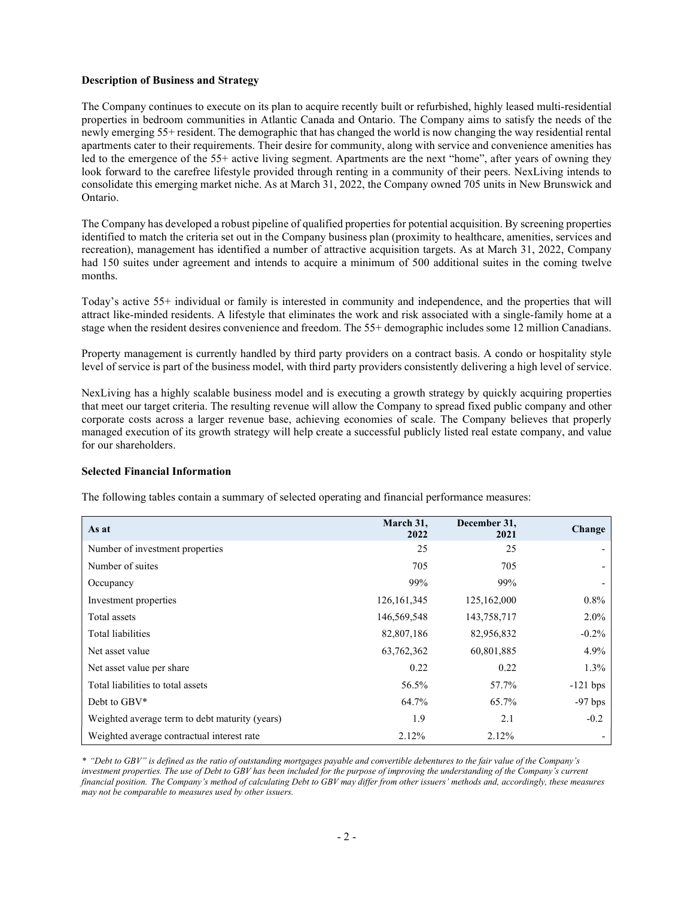### Description of Business and Strategy

The Company continues to execute on its plan to acquire recently built or refurbished, highly leased multi-residential properties in bedroom communities in Atlantic Canada and Ontario. The Company aims to satisfy the needs of the newly emerging 55+ resident. The demographic that has changed the world is now changing the way residential rental apartments cater to their requirements. Their desire for community, along with service and convenience amenities has led to the emergence of the 55+ active living segment. Apartments are the next "home", after years of owning they look forward to the carefree lifestyle provided through renting in a community of their peers. NexLiving intends to consolidate this emerging market niche. As at March 31, 2022, the Company owned 705 units in New Brunswick and Ontario.

The Company has developed a robust pipeline of qualified properties for potential acquisition. By screening properties identified to match the criteria set out in the Company business plan (proximity to healthcare, amenities, services and recreation), management has identified a number of attractive acquisition targets. As at March 31, 2022, Company had 150 suites under agreement and intends to acquire a minimum of 500 additional suites in the coming twelve months.

Today's active 55+ individual or family is interested in community and independence, and the properties that will attract like-minded residents. A lifestyle that eliminates the work and risk associated with a single-family home at a stage when the resident desires convenience and freedom. The 55+ demographic includes some 12 million Canadians.

Property management is currently handled by third party providers on a contract basis. A condo or hospitality style level of service is part of the business model, with third party providers consistently delivering a high level of service.

NexLiving has a highly scalable business model and is executing a growth strategy by quickly acquiring properties that meet our target criteria. The resulting revenue will allow the Company to spread fixed public company and other corporate costs across a larger revenue base, achieving economies of scale. The Company believes that properly managed execution of its growth strategy will help create a successful publicly listed real estate company, and value for our shareholders.

#### Selected Financial Information

The following tables contain a summary of selected operating and financial performance measures:

| As at                                          | March 31,<br>2022 | December 31,<br>2021 | Change                   |
|------------------------------------------------|-------------------|----------------------|--------------------------|
| Number of investment properties                | 25                | 25                   |                          |
| Number of suites                               | 705               | 705                  | $\overline{\phantom{0}}$ |
| Occupancy                                      | 99%               | 99%                  |                          |
| Investment properties                          | 126, 161, 345     | 125,162,000          | $0.8\%$                  |
| Total assets                                   | 146,569,548       | 143,758,717          | $2.0\%$                  |
| Total liabilities                              | 82,807,186        | 82,956,832           | $-0.2%$                  |
| Net asset value                                | 63,762,362        | 60,801,885           | 4.9%                     |
| Net asset value per share                      | 0.22              | 0.22                 | $1.3\%$                  |
| Total liabilities to total assets              | 56.5%             | 57.7%                | $-121$ bps               |
| Debt to GBV*                                   | 64.7%             | 65.7%                | $-97$ bps                |
| Weighted average term to debt maturity (years) | 1.9               | 2.1                  | $-0.2$                   |
| Weighted average contractual interest rate     | 2.12%             | 2.12%                |                          |

\* "Debt to GBV" is defined as the ratio of outstanding mortgages payable and convertible debentures to the fair value of the Company's investment properties. The use of Debt to GBV has been included for the purpose of improving the understanding of the Company's current financial position. The Company's method of calculating Debt to GBV may differ from other issuers' methods and, accordingly, these measures may not be comparable to measures used by other issuers.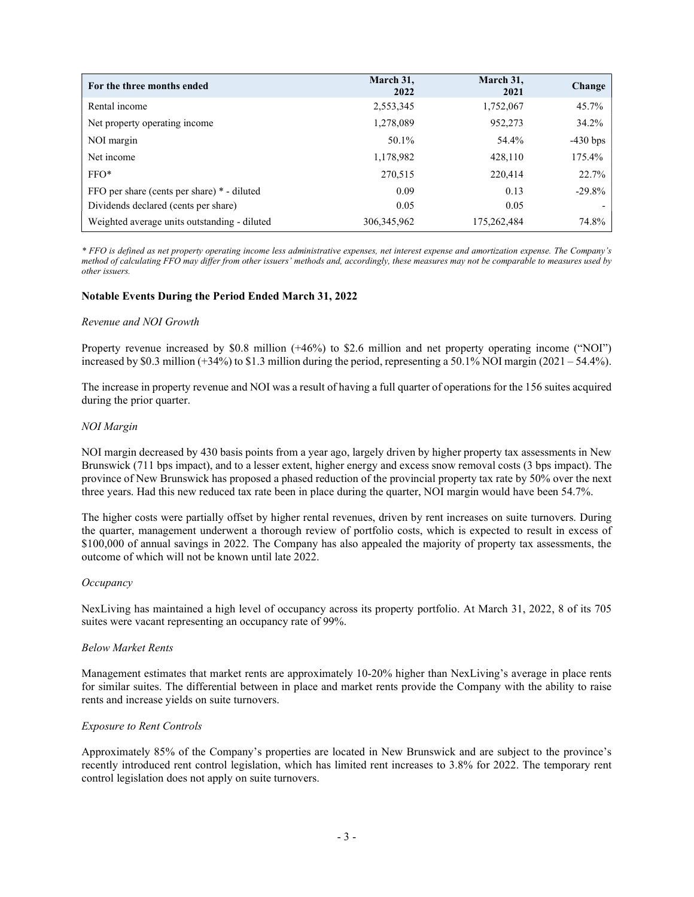| For the three months ended                   | March 31,<br>2022 | March 31,<br>2021 | Change     |
|----------------------------------------------|-------------------|-------------------|------------|
| Rental income                                | 2,553,345         | 1,752,067         | 45.7%      |
| Net property operating income                | 1,278,089         | 952,273           | 34.2%      |
| NOI margin                                   | 50.1%             | 54.4%             | $-430$ bps |
| Net income                                   | 1,178,982         | 428,110           | 175.4%     |
| $FFO*$                                       | 270,515           | 220,414           | 22.7%      |
| FFO per share (cents per share) * - diluted  | 0.09              | 0.13              | $-29.8%$   |
| Dividends declared (cents per share)         | 0.05              | 0.05              |            |
| Weighted average units outstanding - diluted | 306, 345, 962     | 175,262,484       | 74.8%      |

\* FFO is defined as net property operating income less administrative expenses, net interest expense and amortization expense. The Company's method of calculating FFO may differ from other issuers' methods and, accordingly, these measures may not be comparable to measures used by other issuers.

## Notable Events During the Period Ended March 31, 2022

#### Revenue and NOI Growth

Property revenue increased by \$0.8 million (+46%) to \$2.6 million and net property operating income ("NOI") increased by \$0.3 million (+34%) to \$1.3 million during the period, representing a 50.1% NOI margin (2021 – 54.4%).

The increase in property revenue and NOI was a result of having a full quarter of operations for the 156 suites acquired during the prior quarter.

#### NOI Margin

NOI margin decreased by 430 basis points from a year ago, largely driven by higher property tax assessments in New Brunswick (711 bps impact), and to a lesser extent, higher energy and excess snow removal costs (3 bps impact). The province of New Brunswick has proposed a phased reduction of the provincial property tax rate by 50% over the next three years. Had this new reduced tax rate been in place during the quarter, NOI margin would have been 54.7%.

The higher costs were partially offset by higher rental revenues, driven by rent increases on suite turnovers. During the quarter, management underwent a thorough review of portfolio costs, which is expected to result in excess of \$100,000 of annual savings in 2022. The Company has also appealed the majority of property tax assessments, the outcome of which will not be known until late 2022.

#### **Occupancy**

NexLiving has maintained a high level of occupancy across its property portfolio. At March 31, 2022, 8 of its 705 suites were vacant representing an occupancy rate of 99%.

#### Below Market Rents

Management estimates that market rents are approximately 10-20% higher than NexLiving's average in place rents for similar suites. The differential between in place and market rents provide the Company with the ability to raise rents and increase yields on suite turnovers.

#### Exposure to Rent Controls

Approximately 85% of the Company's properties are located in New Brunswick and are subject to the province's recently introduced rent control legislation, which has limited rent increases to 3.8% for 2022. The temporary rent control legislation does not apply on suite turnovers.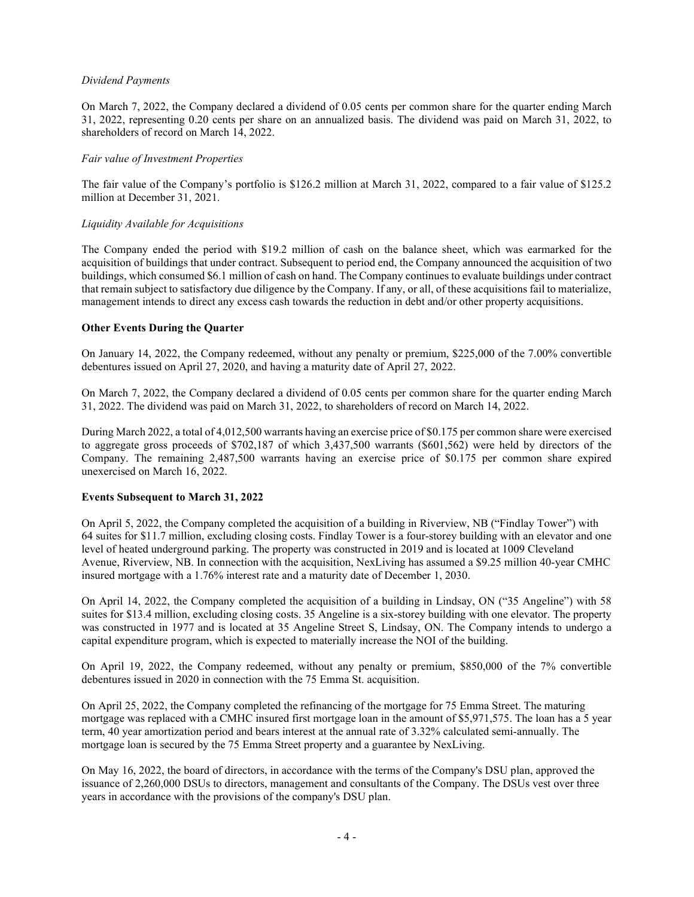## Dividend Payments

On March 7, 2022, the Company declared a dividend of 0.05 cents per common share for the quarter ending March 31, 2022, representing 0.20 cents per share on an annualized basis. The dividend was paid on March 31, 2022, to shareholders of record on March 14, 2022.

## Fair value of Investment Properties

The fair value of the Company's portfolio is \$126.2 million at March 31, 2022, compared to a fair value of \$125.2 million at December 31, 2021.

## Liquidity Available for Acquisitions

The Company ended the period with \$19.2 million of cash on the balance sheet, which was earmarked for the acquisition of buildings that under contract. Subsequent to period end, the Company announced the acquisition of two buildings, which consumed \$6.1 million of cash on hand. The Company continues to evaluate buildings under contract that remain subject to satisfactory due diligence by the Company. If any, or all, of these acquisitions fail to materialize, management intends to direct any excess cash towards the reduction in debt and/or other property acquisitions.

# Other Events During the Quarter

On January 14, 2022, the Company redeemed, without any penalty or premium, \$225,000 of the 7.00% convertible debentures issued on April 27, 2020, and having a maturity date of April 27, 2022.

On March 7, 2022, the Company declared a dividend of 0.05 cents per common share for the quarter ending March 31, 2022. The dividend was paid on March 31, 2022, to shareholders of record on March 14, 2022.

During March 2022, a total of 4,012,500 warrants having an exercise price of \$0.175 per common share were exercised to aggregate gross proceeds of \$702,187 of which 3,437,500 warrants (\$601,562) were held by directors of the Company. The remaining 2,487,500 warrants having an exercise price of \$0.175 per common share expired unexercised on March 16, 2022.

#### Events Subsequent to March 31, 2022

On April 5, 2022, the Company completed the acquisition of a building in Riverview, NB ("Findlay Tower") with 64 suites for \$11.7 million, excluding closing costs. Findlay Tower is a four-storey building with an elevator and one level of heated underground parking. The property was constructed in 2019 and is located at 1009 Cleveland Avenue, Riverview, NB. In connection with the acquisition, NexLiving has assumed a \$9.25 million 40-year CMHC insured mortgage with a 1.76% interest rate and a maturity date of December 1, 2030.

On April 14, 2022, the Company completed the acquisition of a building in Lindsay, ON ("35 Angeline") with 58 suites for \$13.4 million, excluding closing costs. 35 Angeline is a six-storey building with one elevator. The property was constructed in 1977 and is located at 35 Angeline Street S, Lindsay, ON. The Company intends to undergo a capital expenditure program, which is expected to materially increase the NOI of the building.

On April 19, 2022, the Company redeemed, without any penalty or premium, \$850,000 of the 7% convertible debentures issued in 2020 in connection with the 75 Emma St. acquisition.

On April 25, 2022, the Company completed the refinancing of the mortgage for 75 Emma Street. The maturing mortgage was replaced with a CMHC insured first mortgage loan in the amount of \$5,971,575. The loan has a 5 year term, 40 year amortization period and bears interest at the annual rate of 3.32% calculated semi-annually. The mortgage loan is secured by the 75 Emma Street property and a guarantee by NexLiving.

On May 16, 2022, the board of directors, in accordance with the terms of the Company's DSU plan, approved the issuance of 2,260,000 DSUs to directors, management and consultants of the Company. The DSUs vest over three years in accordance with the provisions of the company's DSU plan.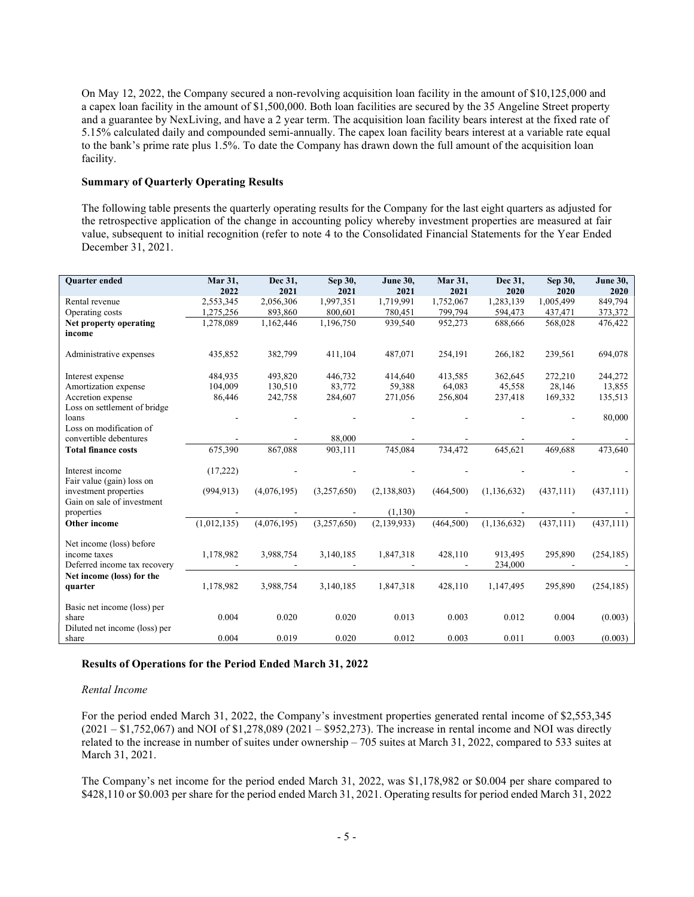On May 12, 2022, the Company secured a non-revolving acquisition loan facility in the amount of \$10,125,000 and a capex loan facility in the amount of \$1,500,000. Both loan facilities are secured by the 35 Angeline Street property and a guarantee by NexLiving, and have a 2 year term. The acquisition loan facility bears interest at the fixed rate of 5.15% calculated daily and compounded semi-annually. The capex loan facility bears interest at a variable rate equal to the bank's prime rate plus 1.5%. To date the Company has drawn down the full amount of the acquisition loan facility.

## Summary of Quarterly Operating Results

The following table presents the quarterly operating results for the Company for the last eight quarters as adjusted for the retrospective application of the change in accounting policy whereby investment properties are measured at fair value, subsequent to initial recognition (refer to note 4 to the Consolidated Financial Statements for the Year Ended December 31, 2021.

| <b>Ouarter</b> ended                                                     | Mar 31,<br>2022 | Dec 31,<br>2021 | Sep 30,<br>2021 | <b>June 30,</b><br>2021 | Mar 31,<br>2021 | Dec 31,<br>2020    | Sep 30,<br>2020 | <b>June 30,</b><br>2020 |
|--------------------------------------------------------------------------|-----------------|-----------------|-----------------|-------------------------|-----------------|--------------------|-----------------|-------------------------|
| Rental revenue                                                           | 2,553,345       | 2,056,306       | 1,997,351       | 1,719,991               | 1,752,067       | 1,283,139          | 1,005,499       | 849,794                 |
| Operating costs                                                          | 1,275,256       | 893,860         | 800,601         | 780,451                 | 799,794         | 594,473            | 437,471         | 373,372                 |
| Net property operating<br>income                                         | 1,278,089       | 1,162,446       | 1,196,750       | 939,540                 | 952,273         | 688,666            | 568,028         | 476,422                 |
| Administrative expenses                                                  | 435,852         | 382,799         | 411,104         | 487,071                 | 254,191         | 266,182            | 239,561         | 694,078                 |
| Interest expense                                                         | 484,935         | 493,820         | 446,732         | 414,640                 | 413,585         | 362,645            | 272,210         | 244,272                 |
| Amortization expense                                                     | 104,009         | 130,510         | 83,772          | 59,388                  | 64,083          | 45,558             | 28,146          | 13,855                  |
| Accretion expense                                                        | 86,446          | 242,758         | 284,607         | 271,056                 | 256,804         | 237,418            | 169,332         | 135,513                 |
| Loss on settlement of bridge<br>loans<br>Loss on modification of         |                 |                 |                 |                         |                 |                    |                 | 80,000                  |
| convertible debentures                                                   |                 |                 | 88,000          |                         |                 |                    |                 |                         |
| <b>Total finance costs</b>                                               | 675,390         | 867,088         | 903,111         | 745,084                 | 734,472         | 645,621            | 469,688         | 473,640                 |
| Interest income<br>Fair value (gain) loss on                             | (17,222)        |                 |                 |                         |                 |                    |                 |                         |
| investment properties<br>Gain on sale of investment                      | (994, 913)      | (4,076,195)     | (3,257,650)     | (2, 138, 803)           | (464,500)       | (1, 136, 632)      | (437, 111)      | (437,111)               |
| properties                                                               |                 |                 |                 | (1, 130)                |                 |                    |                 |                         |
| Other income                                                             | (1,012,135)     | (4,076,195)     | (3,257,650)     | (2, 139, 933)           | (464,500)       | (1, 136, 632)      | (437, 111)      | (437, 111)              |
| Net income (loss) before<br>income taxes<br>Deferred income tax recovery | 1,178,982       | 3,988,754       | 3,140,185       | 1,847,318               | 428,110         | 913.495<br>234,000 | 295,890         | (254, 185)              |
| Net income (loss) for the<br>quarter                                     | 1,178,982       | 3,988,754       | 3,140,185       | 1,847,318               | 428,110         | 1,147,495          | 295,890         | (254, 185)              |
| Basic net income (loss) per<br>share<br>Diluted net income (loss) per    | 0.004           | 0.020           | 0.020           | 0.013                   | 0.003           | 0.012              | 0.004           | (0.003)                 |
| share                                                                    | 0.004           | 0.019           | 0.020           | 0.012                   | 0.003           | 0.011              | 0.003           | (0.003)                 |

#### Results of Operations for the Period Ended March 31, 2022

#### Rental Income

For the period ended March 31, 2022, the Company's investment properties generated rental income of \$2,553,345 (2021 – \$1,752,067) and NOI of \$1,278,089 (2021 – \$952,273). The increase in rental income and NOI was directly related to the increase in number of suites under ownership – 705 suites at March 31, 2022, compared to 533 suites at March 31, 2021.

The Company's net income for the period ended March 31, 2022, was \$1,178,982 or \$0.004 per share compared to \$428,110 or \$0.003 per share for the period ended March 31, 2021. Operating results for period ended March 31, 2022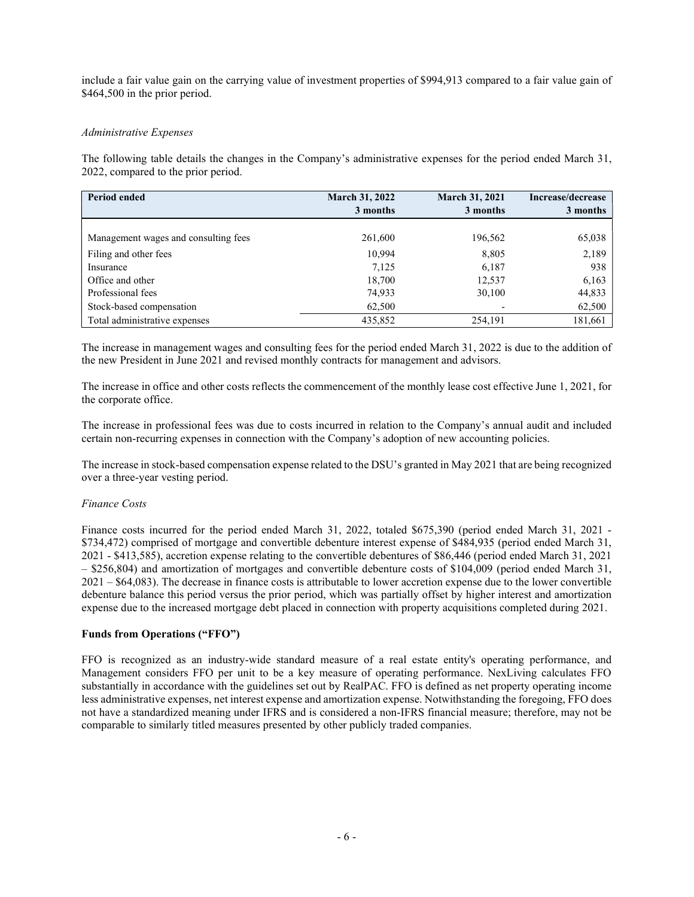include a fair value gain on the carrying value of investment properties of \$994,913 compared to a fair value gain of \$464,500 in the prior period.

# Administrative Expenses

The following table details the changes in the Company's administrative expenses for the period ended March 31, 2022, compared to the prior period.

| <b>Period ended</b>                  | <b>March 31, 2022</b><br>3 months | <b>March 31, 2021</b><br>3 months | Increase/decrease<br>3 months |
|--------------------------------------|-----------------------------------|-----------------------------------|-------------------------------|
|                                      |                                   |                                   |                               |
| Management wages and consulting fees | 261,600                           | 196,562                           | 65,038                        |
| Filing and other fees                | 10,994                            | 8,805                             | 2,189                         |
| Insurance                            | 7,125                             | 6,187                             | 938                           |
| Office and other                     | 18,700                            | 12,537                            | 6,163                         |
| Professional fees                    | 74,933                            | 30,100                            | 44,833                        |
| Stock-based compensation             | 62,500                            |                                   | 62,500                        |
| Total administrative expenses        | 435,852                           | 254,191                           | 181,661                       |

The increase in management wages and consulting fees for the period ended March 31, 2022 is due to the addition of the new President in June 2021 and revised monthly contracts for management and advisors.

The increase in office and other costs reflects the commencement of the monthly lease cost effective June 1, 2021, for the corporate office.

The increase in professional fees was due to costs incurred in relation to the Company's annual audit and included certain non-recurring expenses in connection with the Company's adoption of new accounting policies.

The increase in stock-based compensation expense related to the DSU's granted in May 2021 that are being recognized over a three-year vesting period.

# Finance Costs

Finance costs incurred for the period ended March 31, 2022, totaled \$675,390 (period ended March 31, 2021 - \$734,472) comprised of mortgage and convertible debenture interest expense of \$484,935 (period ended March 31, 2021 - \$413,585), accretion expense relating to the convertible debentures of \$86,446 (period ended March 31, 2021 – \$256,804) and amortization of mortgages and convertible debenture costs of \$104,009 (period ended March 31, 2021 – \$64,083). The decrease in finance costs is attributable to lower accretion expense due to the lower convertible debenture balance this period versus the prior period, which was partially offset by higher interest and amortization expense due to the increased mortgage debt placed in connection with property acquisitions completed during 2021.

# Funds from Operations ("FFO")

FFO is recognized as an industry-wide standard measure of a real estate entity's operating performance, and Management considers FFO per unit to be a key measure of operating performance. NexLiving calculates FFO substantially in accordance with the guidelines set out by RealPAC. FFO is defined as net property operating income less administrative expenses, net interest expense and amortization expense. Notwithstanding the foregoing, FFO does not have a standardized meaning under IFRS and is considered a non-IFRS financial measure; therefore, may not be comparable to similarly titled measures presented by other publicly traded companies.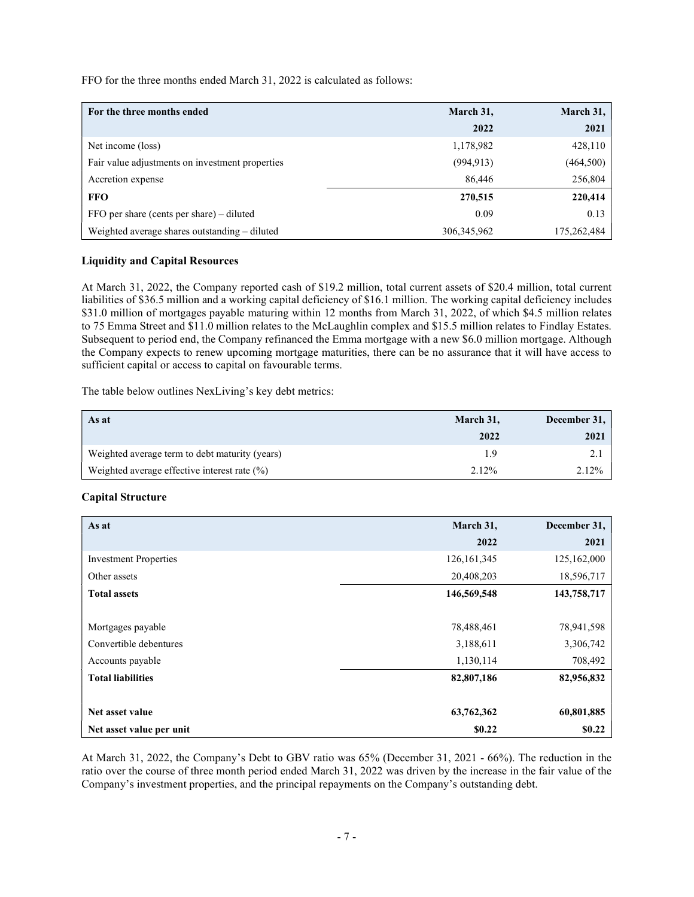FFO for the three months ended March 31, 2022 is calculated as follows:

| For the three months ended                      | March 31,     | March 31,   |
|-------------------------------------------------|---------------|-------------|
|                                                 | 2022          | 2021        |
| Net income (loss)                               | 1,178,982     | 428,110     |
| Fair value adjustments on investment properties | (994, 913)    | (464, 500)  |
| Accretion expense                               | 86,446        | 256,804     |
| <b>FFO</b>                                      | 270,515       | 220,414     |
| FFO per share (cents per share) – diluted       | 0.09          | 0.13        |
| Weighted average shares outstanding - diluted   | 306, 345, 962 | 175,262,484 |

## Liquidity and Capital Resources

At March 31, 2022, the Company reported cash of \$19.2 million, total current assets of \$20.4 million, total current liabilities of \$36.5 million and a working capital deficiency of \$16.1 million. The working capital deficiency includes \$31.0 million of mortgages payable maturing within 12 months from March 31, 2022, of which \$4.5 million relates to 75 Emma Street and \$11.0 million relates to the McLaughlin complex and \$15.5 million relates to Findlay Estates. Subsequent to period end, the Company refinanced the Emma mortgage with a new \$6.0 million mortgage. Although the Company expects to renew upcoming mortgage maturities, there can be no assurance that it will have access to sufficient capital or access to capital on favourable terms.

The table below outlines NexLiving's key debt metrics:

| As at                                          | March 31, | December 31, |
|------------------------------------------------|-----------|--------------|
|                                                | 2022      | 2021         |
| Weighted average term to debt maturity (years) | 1.9       |              |
| Weighted average effective interest rate (%)   | 2.12%     | 2.12%        |

# Capital Structure

| As at                        | March 31,     | December 31, |
|------------------------------|---------------|--------------|
|                              | 2022          | 2021         |
| <b>Investment Properties</b> | 126, 161, 345 | 125,162,000  |
| Other assets                 | 20,408,203    | 18,596,717   |
| <b>Total assets</b>          | 146,569,548   | 143,758,717  |
|                              |               |              |
| Mortgages payable            | 78,488,461    | 78,941,598   |
| Convertible debentures       | 3,188,611     | 3,306,742    |
| Accounts payable             | 1,130,114     | 708,492      |
| <b>Total liabilities</b>     | 82,807,186    | 82,956,832   |
|                              |               |              |
| Net asset value              | 63,762,362    | 60,801,885   |
| Net asset value per unit     | \$0.22        | \$0.22       |

At March 31, 2022, the Company's Debt to GBV ratio was 65% (December 31, 2021 - 66%). The reduction in the ratio over the course of three month period ended March 31, 2022 was driven by the increase in the fair value of the Company's investment properties, and the principal repayments on the Company's outstanding debt.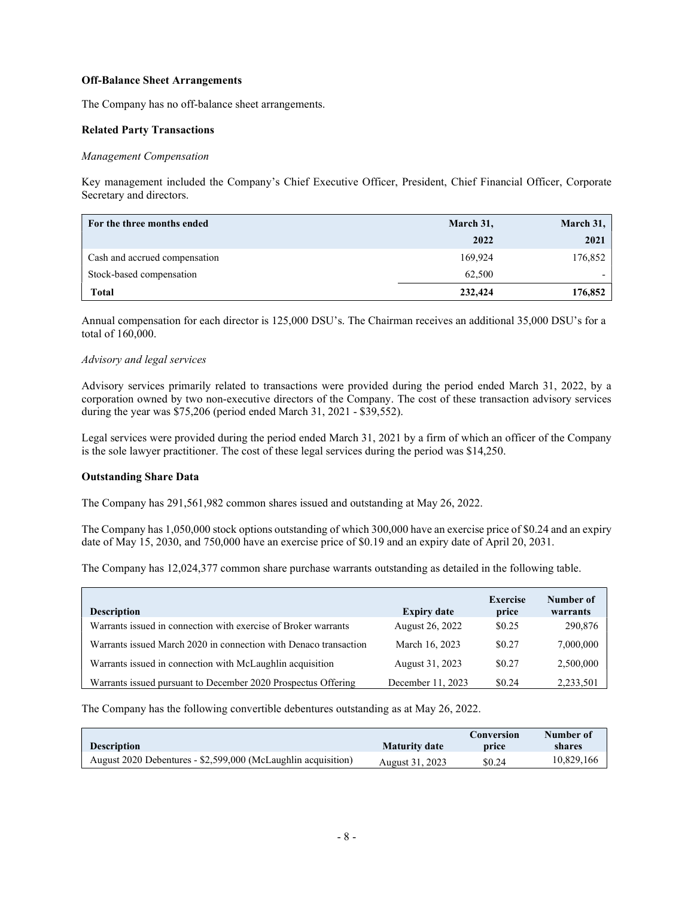#### Off-Balance Sheet Arrangements

The Company has no off-balance sheet arrangements.

## Related Party Transactions

## Management Compensation

Key management included the Company's Chief Executive Officer, President, Chief Financial Officer, Corporate Secretary and directors.

| For the three months ended    | March 31, | March 31, |
|-------------------------------|-----------|-----------|
|                               | 2022      | 2021      |
| Cash and accrued compensation | 169,924   | 176,852   |
| Stock-based compensation      | 62.500    |           |
| Total                         | 232,424   | 176,852   |

Annual compensation for each director is 125,000 DSU's. The Chairman receives an additional 35,000 DSU's for a total of 160,000.

#### Advisory and legal services

Advisory services primarily related to transactions were provided during the period ended March 31, 2022, by a corporation owned by two non-executive directors of the Company. The cost of these transaction advisory services during the year was \$75,206 (period ended March 31, 2021 - \$39,552).

Legal services were provided during the period ended March 31, 2021 by a firm of which an officer of the Company is the sole lawyer practitioner. The cost of these legal services during the period was \$14,250.

#### Outstanding Share Data

The Company has 291,561,982 common shares issued and outstanding at May 26, 2022.

The Company has 1,050,000 stock options outstanding of which 300,000 have an exercise price of \$0.24 and an expiry date of May 15, 2030, and 750,000 have an exercise price of \$0.19 and an expiry date of April 20, 2031.

The Company has 12,024,377 common share purchase warrants outstanding as detailed in the following table.

| <b>Description</b>                                               | <b>Expiry date</b> | <b>Exercise</b><br>price | Number of<br>warrants |
|------------------------------------------------------------------|--------------------|--------------------------|-----------------------|
| Warrants issued in connection with exercise of Broker warrants   | August 26, 2022    | \$0.25                   | 290,876               |
| Warrants issued March 2020 in connection with Denaco transaction | March 16, 2023     | \$0.27                   | 7,000,000             |
| Warrants issued in connection with McLaughlin acquisition        | August 31, 2023    | \$0.27                   | 2,500,000             |
| Warrants issued pursuant to December 2020 Prospectus Offering    | December 11, 2023  | \$0.24                   | 2,233,501             |

The Company has the following convertible debentures outstanding as at May 26, 2022.

|                                                               |                      | Conversion | Number of  |
|---------------------------------------------------------------|----------------------|------------|------------|
| <b>Description</b>                                            | <b>Maturity date</b> | price      | shares     |
| August 2020 Debentures - \$2,599,000 (McLaughlin acquisition) | August 31, 2023      | \$0.24     | 10,829,166 |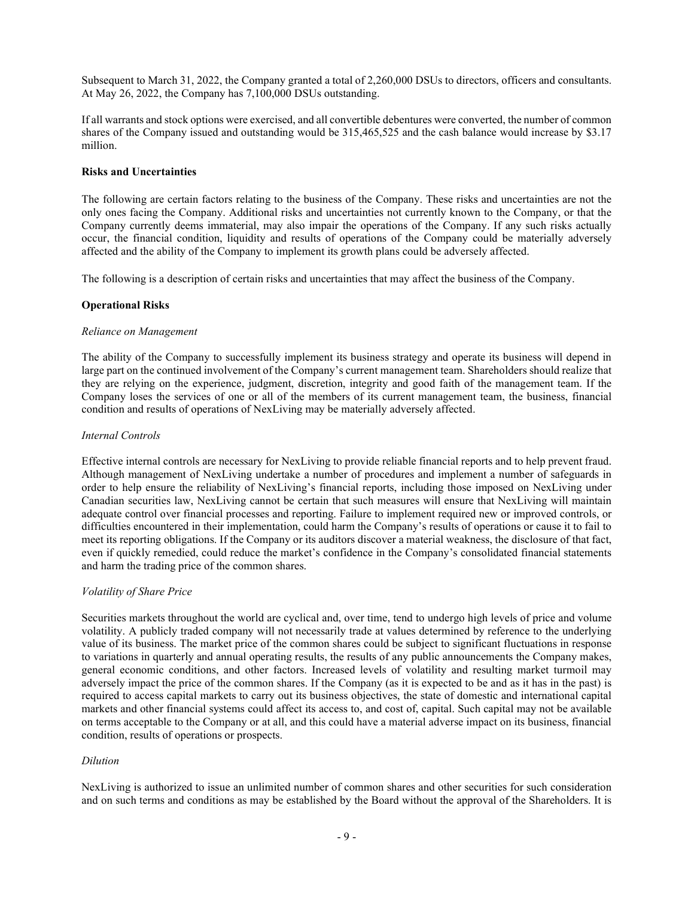Subsequent to March 31, 2022, the Company granted a total of 2,260,000 DSUs to directors, officers and consultants. At May 26, 2022, the Company has 7,100,000 DSUs outstanding.

If all warrants and stock options were exercised, and all convertible debentures were converted, the number of common shares of the Company issued and outstanding would be 315,465,525 and the cash balance would increase by \$3.17 million.

## Risks and Uncertainties

The following are certain factors relating to the business of the Company. These risks and uncertainties are not the only ones facing the Company. Additional risks and uncertainties not currently known to the Company, or that the Company currently deems immaterial, may also impair the operations of the Company. If any such risks actually occur, the financial condition, liquidity and results of operations of the Company could be materially adversely affected and the ability of the Company to implement its growth plans could be adversely affected.

The following is a description of certain risks and uncertainties that may affect the business of the Company.

# Operational Risks

#### Reliance on Management

The ability of the Company to successfully implement its business strategy and operate its business will depend in large part on the continued involvement of the Company's current management team. Shareholders should realize that they are relying on the experience, judgment, discretion, integrity and good faith of the management team. If the Company loses the services of one or all of the members of its current management team, the business, financial condition and results of operations of NexLiving may be materially adversely affected.

## Internal Controls

Effective internal controls are necessary for NexLiving to provide reliable financial reports and to help prevent fraud. Although management of NexLiving undertake a number of procedures and implement a number of safeguards in order to help ensure the reliability of NexLiving's financial reports, including those imposed on NexLiving under Canadian securities law, NexLiving cannot be certain that such measures will ensure that NexLiving will maintain adequate control over financial processes and reporting. Failure to implement required new or improved controls, or difficulties encountered in their implementation, could harm the Company's results of operations or cause it to fail to meet its reporting obligations. If the Company or its auditors discover a material weakness, the disclosure of that fact, even if quickly remedied, could reduce the market's confidence in the Company's consolidated financial statements and harm the trading price of the common shares.

# Volatility of Share Price

Securities markets throughout the world are cyclical and, over time, tend to undergo high levels of price and volume volatility. A publicly traded company will not necessarily trade at values determined by reference to the underlying value of its business. The market price of the common shares could be subject to significant fluctuations in response to variations in quarterly and annual operating results, the results of any public announcements the Company makes, general economic conditions, and other factors. Increased levels of volatility and resulting market turmoil may adversely impact the price of the common shares. If the Company (as it is expected to be and as it has in the past) is required to access capital markets to carry out its business objectives, the state of domestic and international capital markets and other financial systems could affect its access to, and cost of, capital. Such capital may not be available on terms acceptable to the Company or at all, and this could have a material adverse impact on its business, financial condition, results of operations or prospects.

# Dilution

NexLiving is authorized to issue an unlimited number of common shares and other securities for such consideration and on such terms and conditions as may be established by the Board without the approval of the Shareholders. It is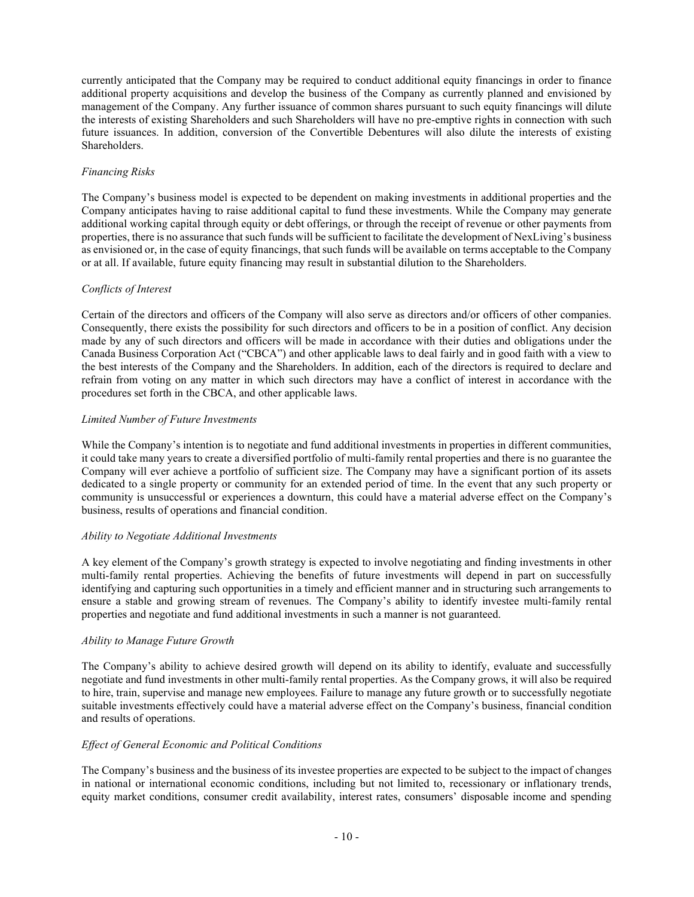currently anticipated that the Company may be required to conduct additional equity financings in order to finance additional property acquisitions and develop the business of the Company as currently planned and envisioned by management of the Company. Any further issuance of common shares pursuant to such equity financings will dilute the interests of existing Shareholders and such Shareholders will have no pre-emptive rights in connection with such future issuances. In addition, conversion of the Convertible Debentures will also dilute the interests of existing Shareholders.

# Financing Risks

The Company's business model is expected to be dependent on making investments in additional properties and the Company anticipates having to raise additional capital to fund these investments. While the Company may generate additional working capital through equity or debt offerings, or through the receipt of revenue or other payments from properties, there is no assurance that such funds will be sufficient to facilitate the development of NexLiving's business as envisioned or, in the case of equity financings, that such funds will be available on terms acceptable to the Company or at all. If available, future equity financing may result in substantial dilution to the Shareholders.

# Conflicts of Interest

Certain of the directors and officers of the Company will also serve as directors and/or officers of other companies. Consequently, there exists the possibility for such directors and officers to be in a position of conflict. Any decision made by any of such directors and officers will be made in accordance with their duties and obligations under the Canada Business Corporation Act ("CBCA") and other applicable laws to deal fairly and in good faith with a view to the best interests of the Company and the Shareholders. In addition, each of the directors is required to declare and refrain from voting on any matter in which such directors may have a conflict of interest in accordance with the procedures set forth in the CBCA, and other applicable laws.

# Limited Number of Future Investments

While the Company's intention is to negotiate and fund additional investments in properties in different communities, it could take many years to create a diversified portfolio of multi-family rental properties and there is no guarantee the Company will ever achieve a portfolio of sufficient size. The Company may have a significant portion of its assets dedicated to a single property or community for an extended period of time. In the event that any such property or community is unsuccessful or experiences a downturn, this could have a material adverse effect on the Company's business, results of operations and financial condition.

# Ability to Negotiate Additional Investments

A key element of the Company's growth strategy is expected to involve negotiating and finding investments in other multi-family rental properties. Achieving the benefits of future investments will depend in part on successfully identifying and capturing such opportunities in a timely and efficient manner and in structuring such arrangements to ensure a stable and growing stream of revenues. The Company's ability to identify investee multi-family rental properties and negotiate and fund additional investments in such a manner is not guaranteed.

# Ability to Manage Future Growth

The Company's ability to achieve desired growth will depend on its ability to identify, evaluate and successfully negotiate and fund investments in other multi-family rental properties. As the Company grows, it will also be required to hire, train, supervise and manage new employees. Failure to manage any future growth or to successfully negotiate suitable investments effectively could have a material adverse effect on the Company's business, financial condition and results of operations.

# Effect of General Economic and Political Conditions

The Company's business and the business of its investee properties are expected to be subject to the impact of changes in national or international economic conditions, including but not limited to, recessionary or inflationary trends, equity market conditions, consumer credit availability, interest rates, consumers' disposable income and spending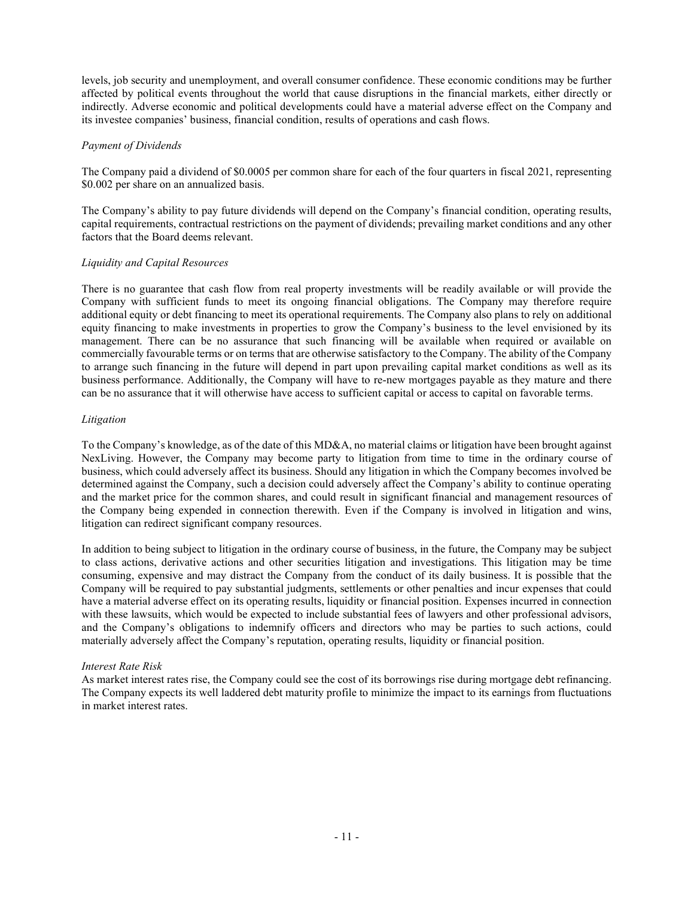levels, job security and unemployment, and overall consumer confidence. These economic conditions may be further affected by political events throughout the world that cause disruptions in the financial markets, either directly or indirectly. Adverse economic and political developments could have a material adverse effect on the Company and its investee companies' business, financial condition, results of operations and cash flows.

# Payment of Dividends

The Company paid a dividend of \$0.0005 per common share for each of the four quarters in fiscal 2021, representing \$0.002 per share on an annualized basis.

The Company's ability to pay future dividends will depend on the Company's financial condition, operating results, capital requirements, contractual restrictions on the payment of dividends; prevailing market conditions and any other factors that the Board deems relevant.

# Liquidity and Capital Resources

There is no guarantee that cash flow from real property investments will be readily available or will provide the Company with sufficient funds to meet its ongoing financial obligations. The Company may therefore require additional equity or debt financing to meet its operational requirements. The Company also plans to rely on additional equity financing to make investments in properties to grow the Company's business to the level envisioned by its management. There can be no assurance that such financing will be available when required or available on commercially favourable terms or on terms that are otherwise satisfactory to the Company. The ability of the Company to arrange such financing in the future will depend in part upon prevailing capital market conditions as well as its business performance. Additionally, the Company will have to re-new mortgages payable as they mature and there can be no assurance that it will otherwise have access to sufficient capital or access to capital on favorable terms.

# Litigation

To the Company's knowledge, as of the date of this MD&A, no material claims or litigation have been brought against NexLiving. However, the Company may become party to litigation from time to time in the ordinary course of business, which could adversely affect its business. Should any litigation in which the Company becomes involved be determined against the Company, such a decision could adversely affect the Company's ability to continue operating and the market price for the common shares, and could result in significant financial and management resources of the Company being expended in connection therewith. Even if the Company is involved in litigation and wins, litigation can redirect significant company resources.

In addition to being subject to litigation in the ordinary course of business, in the future, the Company may be subject to class actions, derivative actions and other securities litigation and investigations. This litigation may be time consuming, expensive and may distract the Company from the conduct of its daily business. It is possible that the Company will be required to pay substantial judgments, settlements or other penalties and incur expenses that could have a material adverse effect on its operating results, liquidity or financial position. Expenses incurred in connection with these lawsuits, which would be expected to include substantial fees of lawyers and other professional advisors, and the Company's obligations to indemnify officers and directors who may be parties to such actions, could materially adversely affect the Company's reputation, operating results, liquidity or financial position.

# Interest Rate Risk

As market interest rates rise, the Company could see the cost of its borrowings rise during mortgage debt refinancing. The Company expects its well laddered debt maturity profile to minimize the impact to its earnings from fluctuations in market interest rates.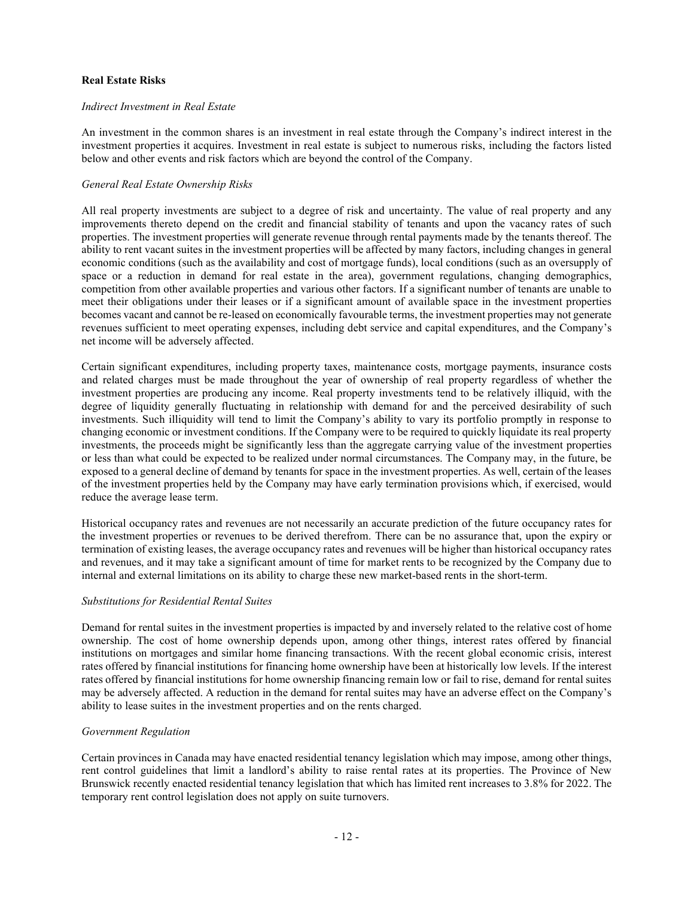# Real Estate Risks

## Indirect Investment in Real Estate

An investment in the common shares is an investment in real estate through the Company's indirect interest in the investment properties it acquires. Investment in real estate is subject to numerous risks, including the factors listed below and other events and risk factors which are beyond the control of the Company.

## General Real Estate Ownership Risks

All real property investments are subject to a degree of risk and uncertainty. The value of real property and any improvements thereto depend on the credit and financial stability of tenants and upon the vacancy rates of such properties. The investment properties will generate revenue through rental payments made by the tenants thereof. The ability to rent vacant suites in the investment properties will be affected by many factors, including changes in general economic conditions (such as the availability and cost of mortgage funds), local conditions (such as an oversupply of space or a reduction in demand for real estate in the area), government regulations, changing demographics, competition from other available properties and various other factors. If a significant number of tenants are unable to meet their obligations under their leases or if a significant amount of available space in the investment properties becomes vacant and cannot be re-leased on economically favourable terms, the investment properties may not generate revenues sufficient to meet operating expenses, including debt service and capital expenditures, and the Company's net income will be adversely affected.

Certain significant expenditures, including property taxes, maintenance costs, mortgage payments, insurance costs and related charges must be made throughout the year of ownership of real property regardless of whether the investment properties are producing any income. Real property investments tend to be relatively illiquid, with the degree of liquidity generally fluctuating in relationship with demand for and the perceived desirability of such investments. Such illiquidity will tend to limit the Company's ability to vary its portfolio promptly in response to changing economic or investment conditions. If the Company were to be required to quickly liquidate its real property investments, the proceeds might be significantly less than the aggregate carrying value of the investment properties or less than what could be expected to be realized under normal circumstances. The Company may, in the future, be exposed to a general decline of demand by tenants for space in the investment properties. As well, certain of the leases of the investment properties held by the Company may have early termination provisions which, if exercised, would reduce the average lease term.

Historical occupancy rates and revenues are not necessarily an accurate prediction of the future occupancy rates for the investment properties or revenues to be derived therefrom. There can be no assurance that, upon the expiry or termination of existing leases, the average occupancy rates and revenues will be higher than historical occupancy rates and revenues, and it may take a significant amount of time for market rents to be recognized by the Company due to internal and external limitations on its ability to charge these new market-based rents in the short-term.

#### Substitutions for Residential Rental Suites

Demand for rental suites in the investment properties is impacted by and inversely related to the relative cost of home ownership. The cost of home ownership depends upon, among other things, interest rates offered by financial institutions on mortgages and similar home financing transactions. With the recent global economic crisis, interest rates offered by financial institutions for financing home ownership have been at historically low levels. If the interest rates offered by financial institutions for home ownership financing remain low or fail to rise, demand for rental suites may be adversely affected. A reduction in the demand for rental suites may have an adverse effect on the Company's ability to lease suites in the investment properties and on the rents charged.

#### Government Regulation

Certain provinces in Canada may have enacted residential tenancy legislation which may impose, among other things, rent control guidelines that limit a landlord's ability to raise rental rates at its properties. The Province of New Brunswick recently enacted residential tenancy legislation that which has limited rent increases to 3.8% for 2022. The temporary rent control legislation does not apply on suite turnovers.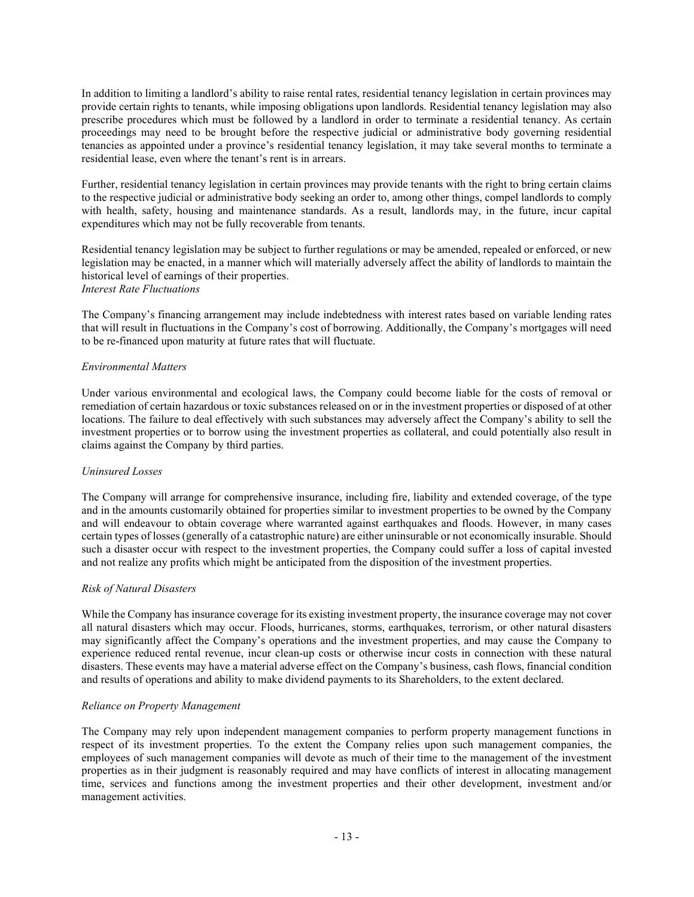In addition to limiting a landlord's ability to raise rental rates, residential tenancy legislation in certain provinces may provide certain rights to tenants, while imposing obligations upon landlords. Residential tenancy legislation may also prescribe procedures which must be followed by a landlord in order to terminate a residential tenancy. As certain proceedings may need to be brought before the respective judicial or administrative body governing residential tenancies as appointed under a province's residential tenancy legislation, it may take several months to terminate a residential lease, even where the tenant's rent is in arrears.

Further, residential tenancy legislation in certain provinces may provide tenants with the right to bring certain claims to the respective judicial or administrative body seeking an order to, among other things, compel landlords to comply with health, safety, housing and maintenance standards. As a result, landlords may, in the future, incur capital expenditures which may not be fully recoverable from tenants.

Residential tenancy legislation may be subject to further regulations or may be amended, repealed or enforced, or new legislation may be enacted, in a manner which will materially adversely affect the ability of landlords to maintain the historical level of earnings of their properties. Interest Rate Fluctuations

The Company's financing arrangement may include indebtedness with interest rates based on variable lending rates that will result in fluctuations in the Company's cost of borrowing. Additionally, the Company's mortgages will need to be re-financed upon maturity at future rates that will fluctuate.

## Environmental Matters

Under various environmental and ecological laws, the Company could become liable for the costs of removal or remediation of certain hazardous or toxic substances released on or in the investment properties or disposed of at other locations. The failure to deal effectively with such substances may adversely affect the Company's ability to sell the investment properties or to borrow using the investment properties as collateral, and could potentially also result in claims against the Company by third parties.

# Uninsured Losses

The Company will arrange for comprehensive insurance, including fire, liability and extended coverage, of the type and in the amounts customarily obtained for properties similar to investment properties to be owned by the Company and will endeavour to obtain coverage where warranted against earthquakes and floods. However, in many cases certain types of losses (generally of a catastrophic nature) are either uninsurable or not economically insurable. Should such a disaster occur with respect to the investment properties, the Company could suffer a loss of capital invested and not realize any profits which might be anticipated from the disposition of the investment properties.

#### Risk of Natural Disasters

While the Company has insurance coverage for its existing investment property, the insurance coverage may not cover all natural disasters which may occur. Floods, hurricanes, storms, earthquakes, terrorism, or other natural disasters may significantly affect the Company's operations and the investment properties, and may cause the Company to experience reduced rental revenue, incur clean-up costs or otherwise incur costs in connection with these natural disasters. These events may have a material adverse effect on the Company's business, cash flows, financial condition and results of operations and ability to make dividend payments to its Shareholders, to the extent declared.

#### Reliance on Property Management

The Company may rely upon independent management companies to perform property management functions in respect of its investment properties. To the extent the Company relies upon such management companies, the employees of such management companies will devote as much of their time to the management of the investment properties as in their judgment is reasonably required and may have conflicts of interest in allocating management time, services and functions among the investment properties and their other development, investment and/or management activities.